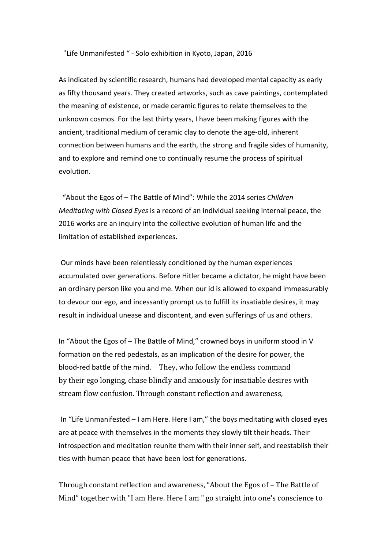"Life Unmanifested " - Solo exhibition in Kyoto, Japan, 2016

As indicated by scientific research, humans had developed mental capacity as early as fifty thousand years. They created artworks, such as cave paintings, contemplated the meaning of existence, or made ceramic figures to relate themselves to the unknown cosmos. For the last thirty years, I have been making figures with the ancient, traditional medium of ceramic clay to denote the age-old, inherent connection between humans and the earth, the strong and fragile sides of humanity, and to explore and remind one to continually resume the process of spiritual evolution. 

"About the Egos of - The Battle of Mind": While the 2014 series *Children Meditating with Closed Eyes* is a record of an individual seeking internal peace, the 2016 works are an inquiry into the collective evolution of human life and the limitation of established experiences.

Our minds have been relentlessly conditioned by the human experiences accumulated over generations. Before Hitler became a dictator, he might have been an ordinary person like you and me. When our id is allowed to expand immeasurably to devour our ego, and incessantly prompt us to fulfill its insatiable desires, it may result in individual unease and discontent, and even sufferings of us and others.

In "About the Egos of - The Battle of Mind," crowned boys in uniform stood in V formation on the red pedestals, as an implication of the desire for power, the blood-red battle of the mind. They, who follow the endless command by their ego longing, chase blindly and anxiously for insatiable desires with stream flow confusion. Through constant reflection and awareness,

In "Life Unmanifested  $-1$  am Here. Here I am," the boys meditating with closed eyes are at peace with themselves in the moments they slowly tilt their heads. Their introspection and meditation reunite them with their inner self, and reestablish their ties with human peace that have been lost for generations.

Through constant reflection and awareness, "About the Egos of – The Battle of Mind" together with "I am Here. Here I am " go straight into one's conscience to